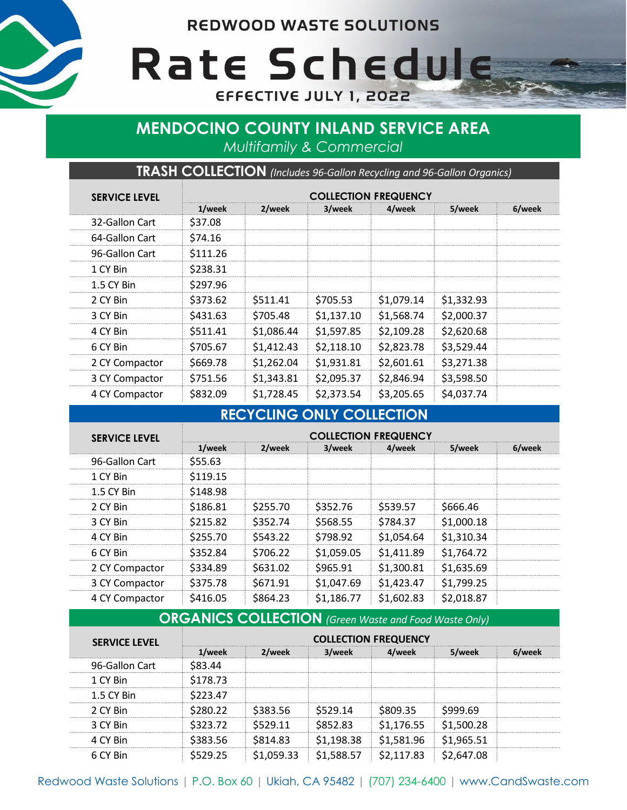**REDWOOD WASTE SOLUTIONS** 



Rate Schedule EFFECTIVE JULY 1, 2022

# **MENDOCINO COUNTY INLAND SERVICE AREA** *Multifamily & Commercial*

**TRASH COLLECTION** *(Includes 96-Gallon Recycling and 96-Gallon Organics)*

| <b>SERVICE LEVEL</b> | <b>COLLECTION FREQUENCY</b> |            |            |            |            |        |
|----------------------|-----------------------------|------------|------------|------------|------------|--------|
|                      | 1/week                      | 2/week     | 3/week     | 4/week     | 5/week     | 6/week |
| 32-Gallon Cart       | \$37.08                     |            |            |            |            |        |
| 64-Gallon Cart       | \$74.16                     |            |            |            |            |        |
| 96-Gallon Cart       | \$111.26                    |            |            |            |            |        |
| 1 CY Bin             | \$238.31                    |            |            |            |            |        |
| 1.5 CY Bin           | \$297.96                    |            |            |            |            |        |
| 2 CY Bin             | \$373.62                    | \$511.41   | \$705.53   | \$1,079.14 | \$1,332.93 |        |
| 3 CY Bin             | \$431.63                    | \$705.48   | \$1,137.10 | \$1,568.74 | \$2,000.37 |        |
| 4 CY Bin             | \$511.41                    | \$1,086.44 | \$1,597.85 | \$2,109.28 | \$2,620.68 |        |
| 6 CY Bin             | \$705.67                    | \$1,412.43 | \$2,118.10 | \$2,823.78 | \$3,529.44 |        |
| 2 CY Compactor       | \$669.78                    | \$1,262.04 | \$1,931.81 | \$2,601.61 | \$3,271.38 |        |
| 3 CY Compactor       | \$751.56                    | \$1,343.81 | \$2,095.37 | \$2,846.94 | \$3,598.50 |        |
| 4 CY Compactor       | \$832.09                    | \$1,728.45 | \$2,373.54 | \$3,205.65 | \$4,037.74 |        |

# **RECYCLING ONLY COLLECTION**

| <b>SERVICE LEVEL</b> | <b>COLLECTION FREQUENCY</b> |          |                       |            |            |        |  |
|----------------------|-----------------------------|----------|-----------------------|------------|------------|--------|--|
|                      | 1/week                      | 2/week   | 3/week                | 4/week     | 5/week     | 6/week |  |
| 96-Gallon Cart       | \$55.63                     |          |                       |            |            |        |  |
| 1 CY Bin             | \$119.15                    |          |                       |            |            |        |  |
| 1.5 CY Bin           | \$148.98                    |          |                       |            |            |        |  |
| 2 CY Rin             | \$186.81                    | \$255.70 | \$352.76              | \$539.57   | \$666.46   |        |  |
| 3 CY Bin             | \$215.82                    | \$352.74 | \$568.55              | \$784.37   | \$1,000.18 |        |  |
| 4 CY Bin             | \$255.70                    | \$543.22 | \$798.92              | \$1.054.64 | \$1,310.34 |        |  |
| 6 CY Bin             | \$352.84                    | \$706.22 | \$1,059.05            | \$1,411.89 | \$1,764.72 |        |  |
| 2 CY Compactor       | \$334.89                    | \$631.02 | \$965.91              | \$1,300.81 | \$1,635.69 |        |  |
| 3 CY Compactor       | \$375.78                    | \$671.91 | S <sub>1.047.69</sub> | \$1,423.47 | \$1,799.25 |        |  |
| 4 CY Compactor       | S416.05                     | \$864.23 | \$1.186.77            | \$1,602.83 | \$2.018.87 |        |  |

#### **ORGANICS COLLECTION** *(Green Waste and Food Waste Only)*

| <b>SERVICE LEVEL</b> | <b>COLLECTION FREQUENCY</b> |           |               |         |            |  |  |
|----------------------|-----------------------------|-----------|---------------|---------|------------|--|--|
|                      | eek                         |           | 1 P.P. K      |         | ρρι        |  |  |
| 96-Gallon Cart       | Δ4                          |           |               |         |            |  |  |
| 1 CY Bin             | S178.73                     |           |               |         |            |  |  |
| 1.5 CY Bin           | 23.47                       |           |               |         |            |  |  |
| 2 CY Bin             |                             |           | 14            |         |            |  |  |
| 3 CY Bin             | 23.72                       | <br>29 11 | <br>:2 83<br> | .176.55 | \$1.500.28 |  |  |
| 4 CY Rin             |                             |           |               |         |            |  |  |
|                      |                             |           |               |         |            |  |  |